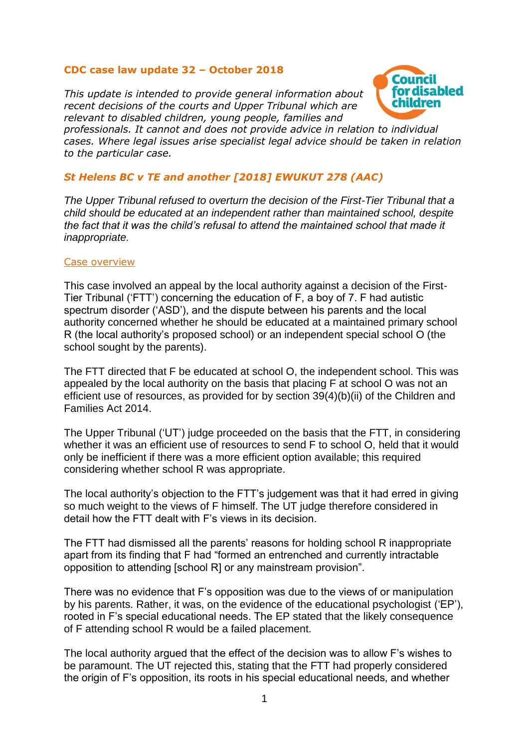# **CDC case law update 32 – October 2018**

*This update is intended to provide general information about recent decisions of the courts and Upper Tribunal which are relevant to disabled children, young people, families and* 



*professionals. It cannot and does not provide advice in relation to individual cases. Where legal issues arise specialist legal advice should be taken in relation to the particular case.*

# *St Helens BC v TE and another [2018] EWUKUT 278 (AAC)*

*The Upper Tribunal refused to overturn the decision of the First-Tier Tribunal that a child should be educated at an independent rather than maintained school, despite the fact that it was the child's refusal to attend the maintained school that made it inappropriate.*

## Case overview

This case involved an appeal by the local authority against a decision of the First-Tier Tribunal ('FTT') concerning the education of F, a boy of 7. F had autistic spectrum disorder ('ASD'), and the dispute between his parents and the local authority concerned whether he should be educated at a maintained primary school R (the local authority's proposed school) or an independent special school O (the school sought by the parents).

The FTT directed that F be educated at school O, the independent school. This was appealed by the local authority on the basis that placing F at school O was not an efficient use of resources, as provided for by section 39(4)(b)(ii) of the Children and Families Act 2014.

The Upper Tribunal ('UT') judge proceeded on the basis that the FTT, in considering whether it was an efficient use of resources to send F to school O, held that it would only be inefficient if there was a more efficient option available; this required considering whether school R was appropriate.

The local authority's objection to the FTT's judgement was that it had erred in giving so much weight to the views of F himself. The UT judge therefore considered in detail how the FTT dealt with F's views in its decision.

The FTT had dismissed all the parents' reasons for holding school R inappropriate apart from its finding that F had "formed an entrenched and currently intractable opposition to attending [school R] or any mainstream provision".

There was no evidence that F's opposition was due to the views of or manipulation by his parents. Rather, it was, on the evidence of the educational psychologist ('EP'), rooted in F's special educational needs. The EP stated that the likely consequence of F attending school R would be a failed placement.

The local authority argued that the effect of the decision was to allow F's wishes to be paramount. The UT rejected this, stating that the FTT had properly considered the origin of F's opposition, its roots in his special educational needs, and whether